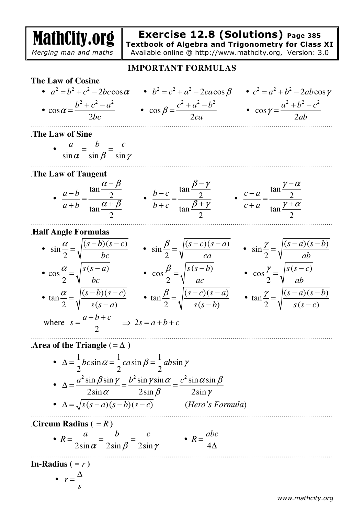MathCity.org  *Merging man and maths*  **Exercise 12.8 (Solutions) Page 385 Textbook of Algebra and Trigonometry for Class XI** Available online @ http://www.mathcity.org, Version: 3.0 **IMPORTANT FORMULAS The Law of Cosine**  •  $a^2 = b^2 + c^2 - 2bc \cos \alpha$  •  $b^2 = c^2 + a^2 - 2ca \cos \beta$  •  $c^2 = a^2 + b^2 - 2ab \cos \gamma$ •  $\cos \alpha = \frac{b^2 + c^2 - a^2}{2}$ cos 2  $b^2 + c^2 - a$  $\alpha = \frac{b^2 + c^2 - a^2}{2bc}$   $\cdot \cos \beta = \frac{c^2 + a^2 - b^2}{2ca}$ cos 2  $c^2 + a^2 - b$ *ca*  $\beta$  $=\frac{c^2+a^2-b^2}{2}$  •  $\cos\gamma = \frac{a^2+b^2-c^2}{2}$ cos 2  $a^2 + b^2 - c$  $\gamma = \frac{}{2ab}$  $+b^2-$ = …………………………………………………………………………………………………………………………………. .**The Law of Sine**   $\sin \alpha$   $\sin \beta$   $\sin$ *a b c*  $\alpha$  sin  $\beta$  sin  $\gamma$  $=\frac{v}{\cdot}$  = …………………………………………………………………………………………………………………………………. .**The Law of Tangent**  tan 2 tan 2  $a - b$  $a + b$  $\alpha - \beta$  $\alpha + \beta$ − − =  $+b \left( \frac{a+b}{2} \right)$  $\bullet$ tan 2 tan 2  $b - c$  $b+c$  $\beta - \gamma$  $\beta + \gamma$ − − =  $+ c \left[ \frac{1}{\tan \beta} \right]$  $\mathcal{L}^{\text{max}}$ tan 2 tan 2  $c - a$  $c + a$  $\gamma - \alpha$  $\gamma + \alpha$ − − =  $+ a$ <sub>tan</sub> $\gamma$ + …………………………………………………………………………………………………………………………………. .**Half Angle Formulas**  $\sin \frac{\alpha}{2} = \sqrt{\frac{(s-b)(s-c)}{2}}$ 2  $(s-b)(s-c)$ *bc*  $\frac{\alpha}{\alpha} = \sqrt{\frac{(s-b)(s-c)}{s}} \qquad \sin \frac{\beta}{\alpha} = \sqrt{\frac{(s-c)(s-a)}{s}}$ 2  $(s-c)(s-a)$ *ca*  $\frac{\beta}{\beta} = \sqrt{\frac{(s-c)(s-a)}{s}}$   $\cdot$   $\sin \frac{\gamma}{\beta} = \sqrt{\frac{(s-a)(s-b)}{s}}$ 2  $(s-a)(s-b)$ *ab*  $\gamma$   $|(s-a)(s-$ =  $\cos \frac{\alpha}{2} = \sqrt{\frac{s(s-a)}{1}}$ cos 2  $s(s-a)$ *bc*  $\frac{\alpha}{\alpha} = \sqrt{\frac{s(s-a)}{1}} \qquad \qquad \cos \frac{\beta}{\alpha} = \sqrt{\frac{s(s-b)}{1}}$ cos 2  $s(s-b)$ *ac*  $\frac{\beta}{\beta} = \sqrt{\frac{s(s-b)}{s}}$  •  $\cos \frac{\gamma}{\beta} = \sqrt{\frac{s(s-c)}{s}}$ cos 2  $s(s-c$ *ab*  $\gamma$  |s(s-= •  $\tan \frac{\alpha}{2} = \sqrt{\frac{(s-b)(s-c)}{2}}$ tan 2  $\bigvee$   $s(s-a)$  $(s-b)(s-c)$  $s(s-a)$  $\alpha$   $|(s-b)(s-$ = − •  $\tan \frac{\beta}{2} = \sqrt{\frac{(s-c)(s-a)}{(s-c)(s-b)}}$ tan 2  $\bigvee s(s-b)$  $(s-c)(s-a)$  $s(s-b)$  $\beta$   $|(s-c)(s-$ = − •  $\tan \frac{\gamma}{2} = \sqrt{\frac{(s-a)(s-b)}{(s-b)}}$ tan 2  $\bigvee$   $s(s-c)$  $(s-a)(s-b)$  $s(s-c$  $\gamma$   $|(s-a)(s-$ = − where 2  $a + b + c$ *s*  $=\frac{a+b+c}{2}\Rightarrow 2s = a+b+c$ …………………………………………………………………………………………………………………………………. **Area of the Triangle (** $=\Delta$ **)** •  $\Delta = \frac{1}{2}bc\sin\alpha = \frac{1}{2}ca\sin\beta = \frac{1}{2}ab\sin\beta$ 2 2 2 2  $\Delta = \frac{1}{2}bc\sin\alpha = \frac{1}{2}ca\sin\beta = \frac{1}{2}ab\sin\gamma$ •  $\Delta = \frac{a^2 \sin \beta \sin \gamma}{2 \cdot \beta} = \frac{b^2 \sin \gamma \sin \alpha}{2 \cdot \beta} = \frac{c^2 \sin \alpha \sin \beta}{2 \cdot \beta}$  $2\sin \alpha$  2sin  $\beta$  2sin  $a^2$  sin  $\beta$  sin  $\gamma$  *b*<sup>2</sup> sin  $\gamma$  sin  $\alpha$  *c*<sup>2</sup> sin  $\alpha$  sin  $\beta$  $\alpha$  2sin  $\beta$  2sin  $\gamma$  $\Delta = \frac{a \sin \beta \sin \gamma}{2} = \frac{b \sin \gamma \sin \alpha}{2 \cdot 2} =$ •  $\Delta = \sqrt{s(s-a)(s-b)(s-c)}$  (*Hero's Formula*) …………………………………………………………………………………………………………………………………. . Circum Radius  $( = R )$  $\overline{\phantom{a}}$  $2\sin\alpha$   $2\sin\beta$   $2\sin\alpha$  $R = \frac{a}{2 \cdot \cdot \cdot} = \frac{b}{2 \cdot \cdot \cdot} = \frac{c}{2 \cdot \cdot \cdot}$  $\alpha$  2sin  $\beta$  2sin  $\gamma$  $=\frac{a}{\lambda}=\frac{b}{\lambda}=\frac{c}{\lambda}$  . 4  $R = \frac{abc}{dt}$ ∆ ………………………………………………………………………………………………………………………………….

**In-Radius** ( $=r$ )

$$
\bullet \quad r = \frac{\Delta}{}
$$

*s*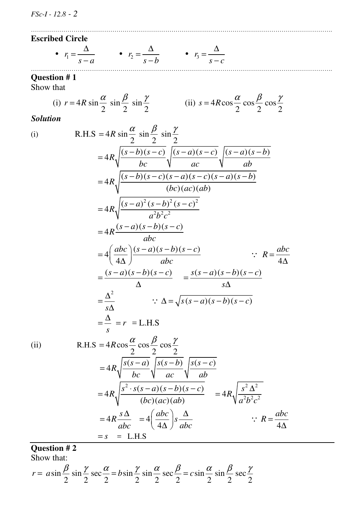#### **Escribed Circle**

• 
$$
r_1 = \frac{\Delta}{s-a}
$$
  $r_2 = \frac{\Delta}{s-b}$   $r_3 = \frac{\Delta}{s-c}$ 

### **Question # 1**

Show that

(i) 
$$
r = 4R \sin \frac{\alpha}{2} \sin \frac{\beta}{2} \sin \frac{\gamma}{2}
$$
 (ii)  $s = 4R \cos \frac{\alpha}{2} \cos \frac{\beta}{2} \cos \frac{\gamma}{2}$ 

………………………………………………………………………………………………………………………………….

*Solution* 

(i) R.H.S = 
$$
4R \sin \frac{\alpha}{2} \sin \frac{\beta}{2} \sin \frac{\gamma}{2}
$$
  
\n
$$
= 4R \sqrt{\frac{(s-b)(s-c)}{bc} \sqrt{\frac{(s-a)(s-c)}{ac} \sqrt{\frac{(s-a)(s-b)}{ab}}}}
$$
\n
$$
= 4R \sqrt{\frac{(s-b)(s-c)(s-a)(s-c)(s-a)(s-b)}{(bc)(ac)(ab)}}
$$
\n
$$
= 4R \sqrt{\frac{(s-a)^2(s-b)^2(s-c)^2}{a^2b^2c^2}}
$$
\n
$$
= 4R \frac{(s-a)(s-b)(s-c)}{abc}
$$
\n
$$
= 4 \left(\frac{abc}{4\Delta}\right) \frac{(s-a)(s-b)(s-c)}{abc}
$$
\n
$$
= \frac{(s-a)(s-b)(s-c)}{\Delta} = \frac{s(s-a)(s-b)(s-c)}{s\Delta}
$$
\n
$$
= \frac{\Delta^2}{s\Delta} \qquad \therefore \Delta = \sqrt{s(s-a)(s-b)(s-c)}
$$
\n
$$
= \frac{\Delta}{s} = r = \text{L.H.S}
$$
\n(ii) R.H.S =  $4R \cos \frac{\alpha}{2} \cos \frac{\beta}{2} \cos \frac{\gamma}{2}$ \n
$$
= 4R \sqrt{\frac{s(s-a)}{bc} \sqrt{\frac{s(s-b)}{ac} \sqrt{\frac{s(s-c)}{ab}}}}
$$
\n
$$
= 4R \sqrt{\frac{s^2 \cdot s(s-a)(s-b)(s-c)}{(bc)(ac)(ab)}} = 4R \sqrt{\frac{s^2 \Delta^2}{a^2b^2c^2}}
$$
\n
$$
= 4R \frac{s\Delta}{abc} = 4 \left(\frac{abc}{4\Delta}\right) s \frac{\Delta}{abc}
$$
\n
$$
= s = \text{L.H.S}
$$

**Question # 2** 

Show that:

$$
r = a\sin\frac{\beta}{2}\sin\frac{\gamma}{2}\sec\frac{\alpha}{2} = b\sin\frac{\gamma}{2}\sin\frac{\alpha}{2}\sec\frac{\beta}{2} = c\sin\frac{\alpha}{2}\sin\frac{\beta}{2}\sec\frac{\gamma}{2}
$$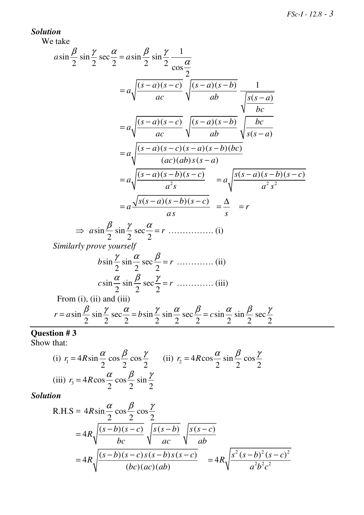## *Solution*

We take

$$
a\sin\frac{\beta}{2}\sin\frac{\gamma}{2}\sec\frac{\alpha}{2} = a\sin\frac{\beta}{2}\sin\frac{\gamma}{2}\frac{1}{\cos\frac{\alpha}{2}}
$$
  
\n
$$
= a\sqrt{\frac{(s-a)(s-c)}{ac}}\sqrt{\frac{(s-a)(s-b)}{ab}}\frac{1}{\sqrt{\frac{s(s-a)}{bc}}}
$$
  
\n
$$
= a\sqrt{\frac{(s-a)(s-c)}{ac}}\sqrt{\frac{(s-a)(s-b)}{ab}}\sqrt{\frac{bc}{s(s-a)}}
$$
  
\n
$$
= a\sqrt{\frac{(s-a)(s-c)(s-a)(s-b)(bc)}{(ac)(ab)s(s-a)}}
$$
  
\n
$$
= a\sqrt{\frac{(s-a)(s-b)(s-c)}{a^2s}} = a\sqrt{\frac{s(s-a)(s-b)(s-c)}{a^2s^2}}
$$
  
\n
$$
= a\sqrt{\frac{s(s-a)(s-b)(s-c)}{a^2s}} = \frac{\Delta}{s} = r
$$
  
\n
$$
\Rightarrow a\sin\frac{\beta}{2}\sin\frac{\gamma}{2}\sec\frac{\alpha}{2} = r
$$
............ (i)  
\nSimilarly prove yourself  
\n
$$
b\sin\frac{\gamma}{2}\sin\frac{\alpha}{2}\sec\frac{\beta}{2} = r
$$
............ (ii)  
\n
$$
c\sin\frac{\alpha}{2}\sin\frac{\beta}{2}\sec\frac{\gamma}{2} = r
$$
............ (iii)  
\nFrom (i), (ii) and (iii)

$$
r = a \sin \frac{\beta}{2} \sin \frac{\gamma}{2} \sec \frac{\alpha}{2} = b \sin \frac{\gamma}{2} \sin \frac{\alpha}{2} \sec \frac{\beta}{2} = c \sin \frac{\alpha}{2} \sin \frac{\beta}{2} \sec \frac{\gamma}{2}
$$

**Question # 3**  Show that:

(i) 
$$
r_1 = 4R\sin\frac{\alpha}{2}\cos\frac{\beta}{2}\cos\frac{\gamma}{2}
$$
 (ii)  $r_2 = 4R\cos\frac{\alpha}{2}\sin\frac{\beta}{2}\cos\frac{\gamma}{2}$   
(iii)  $r_3 = 4R\cos\frac{\alpha}{2}\cos\frac{\beta}{2}\sin\frac{\gamma}{2}$ 

R.H.S = 
$$
4R\sin{\frac{\alpha}{2}}\cos{\frac{\beta}{2}}\cos{\frac{\gamma}{2}}
$$
  
=  $4R\sqrt{\frac{(s-b)(s-c)}{bc}}\sqrt{\frac{s(s-b)}{ac}}\sqrt{\frac{s(s-c)}{ab}}$   
=  $4R\sqrt{\frac{(s-b)(s-c)s(s-b)s(s-c)}{(bc)(ac)(ab)}} = 4R\sqrt{\frac{s^2(s-b)^2(s-c)^2}{a^2b^2c^2}}$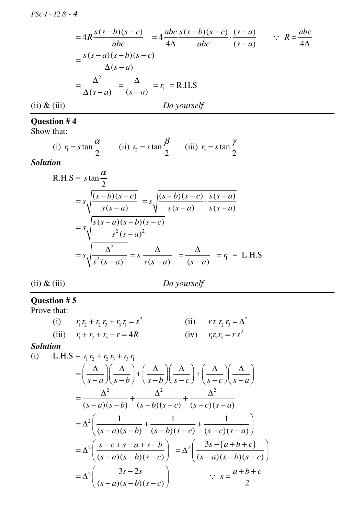$$
=4R\frac{s(s-b)(s-c)}{abc} = 4\frac{abc}{4\Delta}\frac{s(s-b)(s-c)}{abc} \cdot \frac{(s-a)}{(s-a)} \qquad \therefore R = \frac{abc}{4\Delta}
$$

$$
= \frac{s(s-a)(s-b)(s-c)}{\Delta(s-a)}
$$

$$
= \frac{\Delta^2}{\Delta(s-a)} = \frac{\Delta}{(s-a)} = r_1 = \text{R.H.S}
$$
(ii) & (iii)

## **Question # 4**

Show that:

(i) 
$$
r_1 = s \tan \frac{\alpha}{2}
$$
 (ii)  $r_2 = s \tan \frac{\beta}{2}$  (iii)  $r_3 = s \tan \frac{\gamma}{2}$ 

*Solution* 

R.H.S = 
$$
s \tan \frac{\alpha}{2}
$$
  
\n
$$
= s \sqrt{\frac{(s-b)(s-c)}{s(s-a)}} = s \sqrt{\frac{(s-b)(s-c)}{s(s-a)} \cdot \frac{s(s-a)}{s(s-a)}}
$$
\n
$$
= s \sqrt{\frac{s(s-a)(s-b)(s-c)}{s^2(s-a)^2}}
$$
\n
$$
= s \sqrt{\frac{\Delta^2}{s^2(s-a)^2}} = s \frac{\Delta}{s(s-a)} = \frac{\Delta}{(s-a)} = r_1 = \text{L.H.S}
$$

(ii) & (iii)*Do yourself* 

#### **Question # 5**

Prove that:

| (i) $r_1 r_2 + r_2 r_3 + r_3 r_1 = s^2$ | (ii) $r r_1 r_2 r_3 = \Delta^2$ |
|-----------------------------------------|---------------------------------|
| (iii) $r_1 + r_2 + r_3 - r = 4R$        | (iv) $r_1r_2r_3 = rs^2$         |

(i) L.H.S = 
$$
r_1 r_2 + r_2 r_3 + r_3 r_1
$$
  
\n
$$
= \left(\frac{\Delta}{s-a}\right) \left(\frac{\Delta}{s-b}\right) + \left(\frac{\Delta}{s-b}\right) \left(\frac{\Delta}{s-c}\right) + \left(\frac{\Delta}{s-c}\right) \left(\frac{\Delta}{s-a}\right)
$$
\n
$$
= \frac{\Delta^2}{(s-a)(s-b)} + \frac{\Delta^2}{(s-b)(s-c)} + \frac{\Delta^2}{(s-c)(s-a)}
$$
\n
$$
= \Delta^2 \left(\frac{1}{(s-a)(s-b)} + \frac{1}{(s-b)(s-c)} + \frac{1}{(s-c)(s-a)}\right)
$$
\n
$$
= \Delta^2 \left(\frac{s-c+s-a+s-b}{(s-a)(s-b)(s-c)}\right) = \Delta^2 \left(\frac{3s-(a+b+c)}{(s-a)(s-b)(s-c)}\right)
$$
\n
$$
= \Delta^2 \left(\frac{3s-2s}{(s-a)(s-b)(s-c)}\right) \qquad \therefore s = \frac{a+b+c}{2}
$$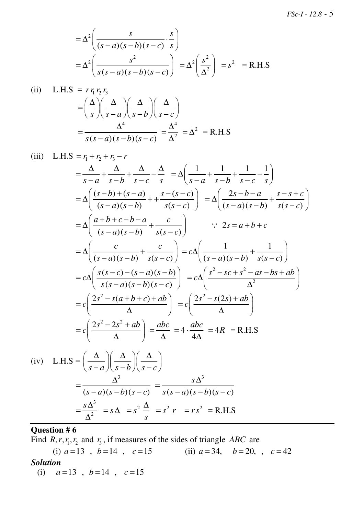$$
= \Delta^2 \left( \frac{s}{(s-a)(s-b)(s-c)} \cdot \frac{s}{s} \right)
$$
  
=  $\Delta^2 \left( \frac{s^2}{s(s-a)(s-b)(s-c)} \right) = \Delta^2 \left( \frac{s^2}{\Delta^2} \right) = s^2 = \text{R.H.S}$ 

(ii) L.H.S = 
$$
r r_1 r_2 r_3
$$
  
=  $\left(\frac{\Delta}{s}\right) \left(\frac{\Delta}{s-a}\right) \left(\frac{\Delta}{s-b}\right) \left(\frac{\Delta}{s-c}\right)$   
=  $\frac{\Delta^4}{s(s-a)(s-b)(s-c)} = \frac{\Delta^4}{\Delta^2} = \Delta^2 = \text{R.H.S}$ 

(iii) L.H.S = 
$$
r_1 + r_2 + r_3 - r
$$
  
\n
$$
= \frac{\Delta}{s-a} + \frac{\Delta}{s-b} + \frac{\Delta}{s-c} - \frac{\Delta}{s} = \Delta \left( \frac{1}{s-a} + \frac{1}{s-b} + \frac{1}{s-c} - \frac{1}{s} \right)
$$
\n
$$
= \Delta \left( \frac{(s-b)+(s-a)}{(s-a)(s-b)} + \frac{s-(s-c)}{s(s-c)} \right) = \Delta \left( \frac{2s-b-a}{(s-a)(s-b)} + \frac{s-s+c}{s(s-c)} \right)
$$
\n
$$
= \Delta \left( \frac{a+b+c-b-a}{(s-a)(s-b)} + \frac{c}{s(s-c)} \right) \qquad \therefore 2s = a+b+c
$$
\n
$$
= \Delta \left( \frac{c}{(s-a)(s-b)} + \frac{c}{s(s-c)} \right) = c\Delta \left( \frac{1}{(s-a)(s-b)} + \frac{1}{s(s-c)} \right)
$$
\n
$$
= c\Delta \left( \frac{s(s-c)-(s-a)(s-b)}{s(s-a)(s-b)(s-c)} \right) = c\Delta \left( \frac{s^2-sc+s^2-as-bs+ab}{\Delta^2} \right)
$$
\n
$$
= c\left( \frac{2s^2-s(a+b+c)+ab}{\Delta} \right) = c\left( \frac{2s^2-s(2s)+ab}{\Delta} \right)
$$
\n
$$
= c\left( \frac{2s^2-2s^2+ab}{\Delta} \right) = \frac{abc}{\Delta} = 4 \cdot \frac{abc}{4\Delta} = 4R = R.H.S
$$
\n(iv) L.H.S =  $\left( \frac{\Delta}{s-a} \right) \left( \frac{\Delta}{s-b} \right) \left( \frac{\Delta}{s-c} \right)$   
\n
$$
= \frac{\Delta^3}{(s-a)(s-b)(s-c)} = \frac{s\Delta^3}{s(s-a)(s-b)(s-c)}
$$
\n
$$
= \frac{s\Delta^3}{\Delta^2} = s\Delta = s^2 \frac{\Delta}{s} = s^2 r = rs^2 = R.H.S
$$

## **Question # 6**

Find  $R, r, r_1, r_2$  and  $r_3$ , if measures of the sides of triangle *ABC* are (i)  $a=13$ ,  $b=14$ ,  $c=15$  (ii)  $a=34$ ,  $b=20$ ,  $c=42$ *Solution*  (i)  $a=13$ ,  $b=14$ ,  $c=15$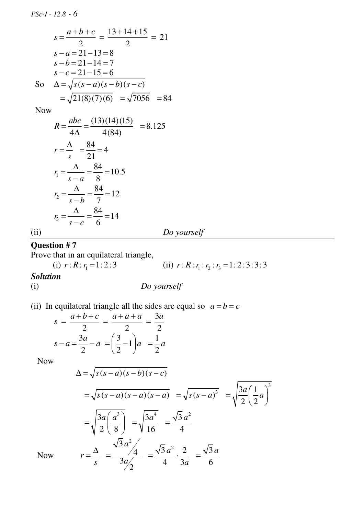$$
s = \frac{a+b+c}{2} = \frac{13+14+15}{2} = 21
$$
  
s-a=21-13=8  
s-b=21-14=7  
s-c=21-15=6  
So 
$$
\Delta = \sqrt{s(s-a)(s-b)(s-c)} = \sqrt{21(8)(7)(6)} = \sqrt{7056} = 84
$$

Now

$$
R = \frac{abc}{4\Delta} = \frac{(13)(14)(15)}{4(84)} = 8.125
$$
  
\n
$$
r = \frac{\Delta}{s} = \frac{84}{21} = 4
$$
  
\n
$$
r_1 = \frac{\Delta}{s - a} = \frac{84}{8} = 10.5
$$
  
\n
$$
r_2 = \frac{\Delta}{s - b} = \frac{84}{7} = 12
$$
  
\n
$$
r_3 = \frac{\Delta}{s - c} = \frac{84}{6} = 14
$$
  
\n(i) Do yourself

## **Question # 7**

Prove that in an equilateral triangle,

(i)  $r: R: r_1 = 1:2:3$ (ii)  $r: R: r_1: r_2: r_3 = 1: 2: 3: 3: 3$ 

## *Solution*

(i) *Do yourself* 

(ii) In equilateral triangle all the sides are equal so  $a = b = c$ 

$$
s = \frac{a+b+c}{2} = \frac{a+a+a}{2} = \frac{3a}{2}
$$

$$
s-a = \frac{3a}{2} - a = \left(\frac{3}{2} - 1\right)a = \frac{1}{2}a
$$

Now

$$
\Delta = \sqrt{s(s-a)(s-b)(s-c)}
$$
  
=  $\sqrt{s(s-a)(s-a)(s-a)} = \sqrt{s(s-a)^3} = \sqrt{\frac{3a}{2}(\frac{1}{2}a)^3}$   
=  $\sqrt{\frac{3a}{2}(\frac{a^3}{8})} = \sqrt{\frac{3a^4}{16}} = \frac{\sqrt{3}a^2}{4}$   
 $r = \frac{\Delta}{s} = \frac{\sqrt{3}a^2}{3a/2} = \frac{\sqrt{3}a^2}{4} \cdot \frac{2}{3a} = \frac{\sqrt{3}a}{6}$ 

Now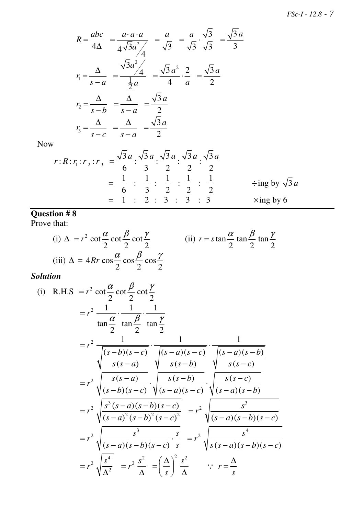$$
R = \frac{abc}{4\Delta} = \frac{a \cdot a \cdot a}{4\sqrt{3}a^2/4} = \frac{a}{\sqrt{3}} = \frac{a}{\sqrt{3}} \cdot \frac{\sqrt{3}}{\sqrt{3}} = \frac{\sqrt{3}a}{3}
$$
  

$$
r_1 = \frac{\Delta}{s - a} = \frac{\sqrt{3}a^2/4}{\frac{1}{2}a} = \frac{\sqrt{3}a^2}{4} \cdot \frac{2}{a} = \frac{\sqrt{3}a}{2}
$$
  

$$
r_2 = \frac{\Delta}{s - b} = \frac{\Delta}{s - a} = \frac{\sqrt{3}a}{2}
$$
  

$$
r_3 = \frac{\Delta}{s - c} = \frac{\Delta}{s - a} = \frac{\sqrt{3}a}{2}
$$

Now

$$
r:R: r_1: r_2: r_3 = \frac{\sqrt{3}a}{6} : \frac{\sqrt{3}a}{3} : \frac{\sqrt{3}a}{2} : \frac{\sqrt{3}a}{2} : \frac{\sqrt{3}a}{2}
$$
  
=  $\frac{1}{6} : \frac{1}{3} : \frac{1}{2} : \frac{1}{2} : \frac{1}{2}$   $\div$ ing by  $\sqrt{3}a$   
= 1 : 2 : 3 : 3 : 3  
  $\times$ ing by 6

#### **Question # 8**

Prove that:

(i) 
$$
\Delta = r^2 \cot \frac{\alpha}{2} \cot \frac{\beta}{2} \cot \frac{\gamma}{2}
$$
  
\n(ii)  $r = s \tan \frac{\alpha}{2} \tan \frac{\beta}{2} \tan \frac{\gamma}{2}$   
\n(iii)  $\Delta = 4Rr \cos \frac{\alpha}{2} \cos \frac{\beta}{2} \cos \frac{\gamma}{2}$ 

(i) R.H.S = 
$$
r^2 \cot \frac{\alpha}{2} \cot \frac{\beta}{2} \cot \frac{\gamma}{2}
$$
  
\n
$$
= r^2 \frac{1}{\tan \frac{\alpha}{2}} \cdot \frac{1}{\tan \frac{\gamma}{2}} \cdot \frac{1}{\tan \frac{\gamma}{2}}
$$
\n
$$
= r^2 \frac{1}{\sqrt{\frac{(s-b)(s-c)}{s(s-a)}}} \cdot \frac{1}{\sqrt{\frac{(s-a)(s-c)}{s(s-b)}}} \cdot \frac{1}{\sqrt{\frac{(s-a)(s-b)}{s(s-c)}}}
$$
\n
$$
= r^2 \sqrt{\frac{s(s-a)}{(s-b)(s-c)}} \cdot \sqrt{\frac{s(s-b)}{(s-a)(s-c)}} \cdot \sqrt{\frac{s(s-c)}{(s-a)(s-b)}}
$$
\n
$$
= r^2 \sqrt{\frac{s^3(s-a)(s-b)(s-c)}{(s-a)^2(s-b)^2(s-c)^2}} = r^2 \sqrt{\frac{s^3}{(s-a)(s-b)(s-c)}}
$$
\n
$$
= r^2 \sqrt{\frac{s^3}{\Delta^2}} = r^2 \frac{s^2}{\Delta} = (\frac{\Delta}{s})^2 \frac{s^2}{\Delta} \quad \therefore r = \frac{\Delta}{s}
$$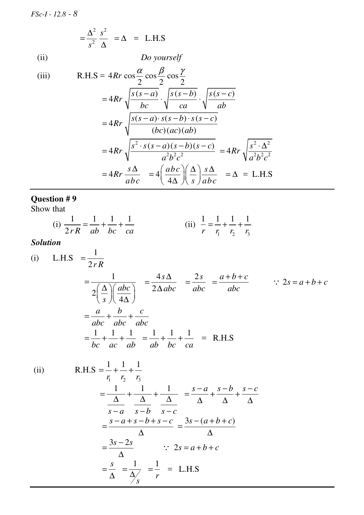$$
= \frac{\Delta^2}{s^2} \frac{s^2}{\Delta} = \Delta = \text{L.H.S}
$$
  
(ii) *Do yourself*

(iii) 
$$
R.H.S = 4Rr \cos \frac{\alpha}{2} \cos \frac{\beta}{2} \cos \frac{\gamma}{2}
$$

$$
= 4Rr \sqrt{\frac{s(s-a)}{bc} \cdot \sqrt{\frac{s(s-b)}{ca} \cdot \sqrt{\frac{s(s-c)}{ab}}}}
$$

$$
= 4Rr \sqrt{\frac{s(s-a) \cdot s(s-b) \cdot s(s-c)}{(bc)(ac)(ab)}}
$$

$$
= 4Rr \sqrt{\frac{s^2 \cdot s(s-a)(s-b)(s-c)}{a^2b^2c^2}} = 4Rr \sqrt{\frac{s^2 \cdot \Delta^2}{a^2b^2c^2}}
$$

$$
= 4Rr \frac{s\Delta}{abc} = 4\left(\frac{abc}{4\Delta}\right)\left(\frac{\Delta}{s}\right)\frac{s\Delta}{abc} = \Delta = L.H.S
$$

## **Question # 9**

Show that

(i) 
$$
\frac{1}{2rR} = \frac{1}{ab} + \frac{1}{bc} + \frac{1}{ca}
$$
 (ii)  $\frac{1}{r} = \frac{1}{r_1} + \frac{1}{r_2} + \frac{1}{r_3}$ 

 $s-a$   $s-b$   $s-c$ 

 $-a$   $s-b$   $s-$ 

 $s - a + s - b + s - c$ 

∆

1

1 *r*

*s*

=

=

*s* = ∆

 $3s - 2s$ 

∆

= ∆

#### *Solution*

(i) L.H.S 
$$
=\frac{1}{2rR}
$$
  
\n
$$
= \frac{1}{2\left(\frac{\Delta}{s}\right)\left(\frac{abc}{4\Delta}\right)} = \frac{4s\Delta}{2\Delta abc} = \frac{2s}{abc} = \frac{a+b+c}{abc} \qquad \therefore 2s = a+b+c
$$
\n
$$
= \frac{a}{abc} + \frac{b}{abc} + \frac{c}{abc}
$$
\n
$$
= \frac{1}{bc} + \frac{1}{ac} + \frac{1}{ab} = \frac{1}{ab} + \frac{1}{bc} + \frac{1}{ca} = \text{R.H.S}
$$
\n(ii) R.H.S  $=\frac{1}{r_1} + \frac{1}{r_2} + \frac{1}{r_3}$   
\n
$$
= \frac{1}{\Delta} + \frac{1}{\Delta} + \frac{1}{\Delta} = \frac{s-a}{\Delta} + \frac{s-b}{\Delta} + \frac{s-c}{\Delta}
$$

=

 $\therefore$  2*s* = *a* + *b* + *c* 

 $= - 1 = L.H.S$ 

 $3s - (a + b + c)$ 

∆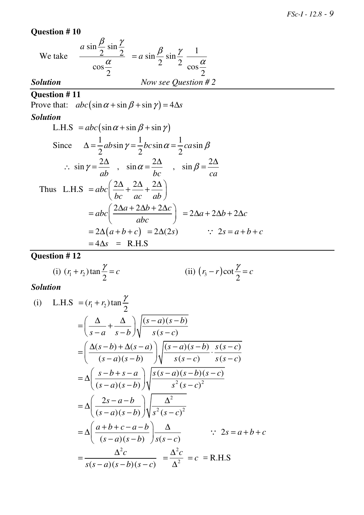## **Question # 10**

We take 
$$
\frac{a \sin \frac{\beta}{2} \sin \frac{\gamma}{2}}{\cos \frac{\alpha}{2}} = a \sin \frac{\beta}{2} \sin \frac{\gamma}{2} \frac{1}{\cos \frac{\alpha}{2}}
$$
  
**Solution**  
Now see Question # 2

## **Question # 11**

Prove that:  $abc(\sin \alpha + \sin \beta + \sin \gamma) = 4\Delta s$ 

*Solution* 

L.H.S = 
$$
abc(\sin \alpha + \sin \beta + \sin \gamma)
$$
  
\nSince  $\Delta = \frac{1}{2}ab\sin \gamma = \frac{1}{2}bc\sin \alpha = \frac{1}{2}c\alpha\sin \beta$   
\n $\therefore \sin \gamma = \frac{2\Delta}{ab}$ ,  $\sin \alpha = \frac{2\Delta}{bc}$ ,  $\sin \beta = \frac{2\Delta}{ca}$   
\nThus L.H.S =  $abc\left(\frac{2\Delta}{bc} + \frac{2\Delta}{ac} + \frac{2\Delta}{ab}\right)$   
\n $= abc\left(\frac{2\Delta a + 2\Delta b + 2\Delta c}{abc}\right) = 2\Delta a + 2\Delta b + 2\Delta c$   
\n $= 2\Delta(a + b + c) = 2\Delta(2s)$   $\therefore 2s = a + b + c$   
\n $= 4\Delta s =$  R.H.S

# **Question # 12**

(i) 
$$
(r_1 + r_2) \tan \frac{\gamma}{2} = c
$$
 (ii)  $(r_3 - r) \cot \frac{\gamma}{2} = c$ 

(i) L.H.S = 
$$
(r_1 + r_2) \tan \frac{\gamma}{2}
$$
  
\n= $\left(\frac{\Delta}{s-a} + \frac{\Delta}{s-b}\right) \sqrt{\frac{(s-a)(s-b)}{s(s-c)}}$   
\n= $\left(\frac{\Delta(s-b) + \Delta(s-a)}{(s-a)(s-b)}\right) \sqrt{\frac{(s-a)(s-b)}{s(s-c)} \cdot \frac{s(s-c)}{s(s-c)}}$   
\n= $\Delta \left(\frac{s-b+s-a}{(s-a)(s-b)}\right) \sqrt{\frac{s(s-a)(s-b)(s-c)}{s^2(s-c)^2}}$   
\n= $\Delta \left(\frac{2s-a-b}{(s-a)(s-b)}\right) \sqrt{\frac{\Delta^2}{s^2(s-c)^2}}$   
\n= $\Delta \left(\frac{a+b+c-a-b}{(s-a)(s-b)}\right) \frac{\Delta}{s(s-c)}$   $\therefore 2s = a+b+c$   
\n= $\frac{\Delta^2 c}{s(s-a)(s-b)(s-c)} = \frac{\Delta^2 c}{\Delta^2} = c$  = R.H.S